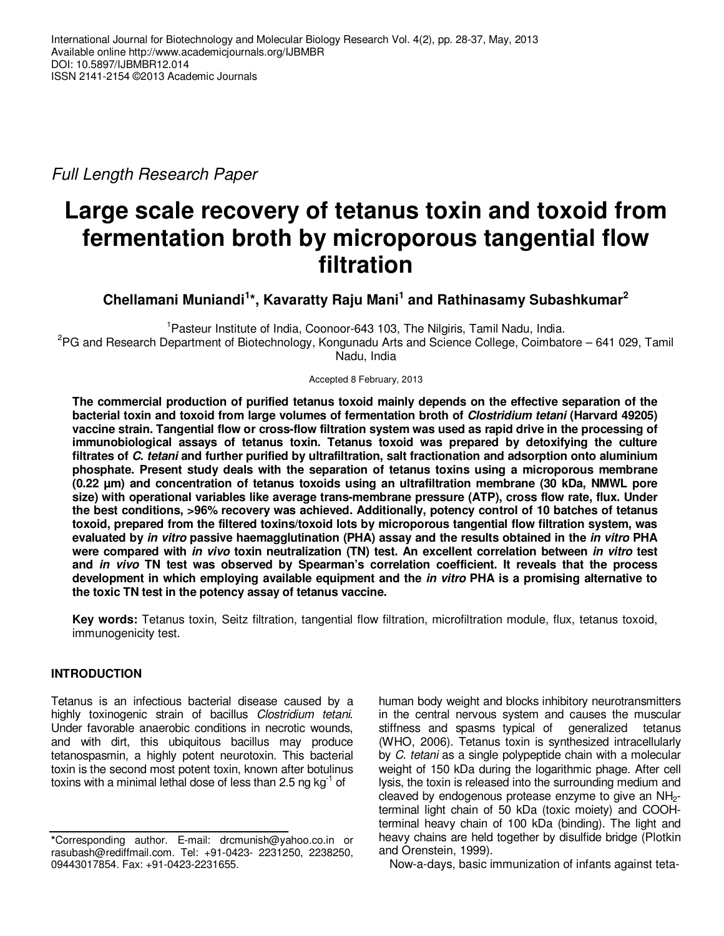Full Length Research Paper

# **Large scale recovery of tetanus toxin and toxoid from fermentation broth by microporous tangential flow filtration**

**Chellamani Muniandi<sup>1</sup> \*, Kavaratty Raju Mani<sup>1</sup> and Rathinasamy Subashkumar<sup>2</sup>**

<sup>1</sup> Pasteur Institute of India, Coonoor-643 103, The Nilgiris, Tamil Nadu, India.  $2P$ G and Research Department of Biotechnology, Kongunadu Arts and Science College, Coimbatore – 641 029, Tamil Nadu, India

Accepted 8 February, 2013

**The commercial production of purified tetanus toxoid mainly depends on the effective separation of the bacterial toxin and toxoid from large volumes of fermentation broth of Clostridium tetani (Harvard 49205) vaccine strain. Tangential flow or cross-flow filtration system was used as rapid drive in the processing of immunobiological assays of tetanus toxin. Tetanus toxoid was prepared by detoxifying the culture filtrates of C. tetani and further purified by ultrafiltration, salt fractionation and adsorption onto aluminium phosphate. Present study deals with the separation of tetanus toxins using a microporous membrane (0.22 µm) and concentration of tetanus toxoids using an ultrafiltration membrane (30 kDa, NMWL pore size) with operational variables like average trans-membrane pressure (ATP), cross flow rate, flux. Under the best conditions, >96% recovery was achieved. Additionally, potency control of 10 batches of tetanus toxoid, prepared from the filtered toxins/toxoid lots by microporous tangential flow filtration system, was evaluated by in vitro passive haemagglutination (PHA) assay and the results obtained in the in vitro PHA were compared with in vivo toxin neutralization (TN) test. An excellent correlation between in vitro test and in vivo TN test was observed by Spearman's correlation coefficient. It reveals that the process development in which employing available equipment and the in vitro PHA is a promising alternative to the toxic TN test in the potency assay of tetanus vaccine.** 

**Key words:** Tetanus toxin, Seitz filtration, tangential flow filtration, microfiltration module, flux, tetanus toxoid, immunogenicity test.

# **INTRODUCTION**

Tetanus is an infectious bacterial disease caused by a highly toxinogenic strain of bacillus Clostridium tetani. Under favorable anaerobic conditions in necrotic wounds, and with dirt, this ubiquitous bacillus may produce tetanospasmin, a highly potent neurotoxin. This bacterial toxin is the second most potent toxin, known after botulinus toxins with a minimal lethal dose of less than 2.5 ng  $kg^{-1}$  of

human body weight and blocks inhibitory neurotransmitters in the central nervous system and causes the muscular stiffness and spasms typical of generalized tetanus (WHO, 2006). Tetanus toxin is synthesized intracellularly by C. tetani as a single polypeptide chain with a molecular weight of 150 kDa during the logarithmic phage. After cell lysis, the toxin is released into the surrounding medium and cleaved by endogenous protease enzyme to give an  $NH_{2}$ terminal light chain of 50 kDa (toxic moiety) and COOHterminal heavy chain of 100 kDa (binding). The light and heavy chains are held together by disulfide bridge (Plotkin and Orenstein, 1999).

Now-a-days, basic immunization of infants against teta-

**<sup>\*</sup>**Corresponding author. E-mail: drcmunish@yahoo.co.in or rasubash@rediffmail.com. Tel: +91-0423- 2231250, 2238250, 09443017854. Fax: +91-0423-2231655.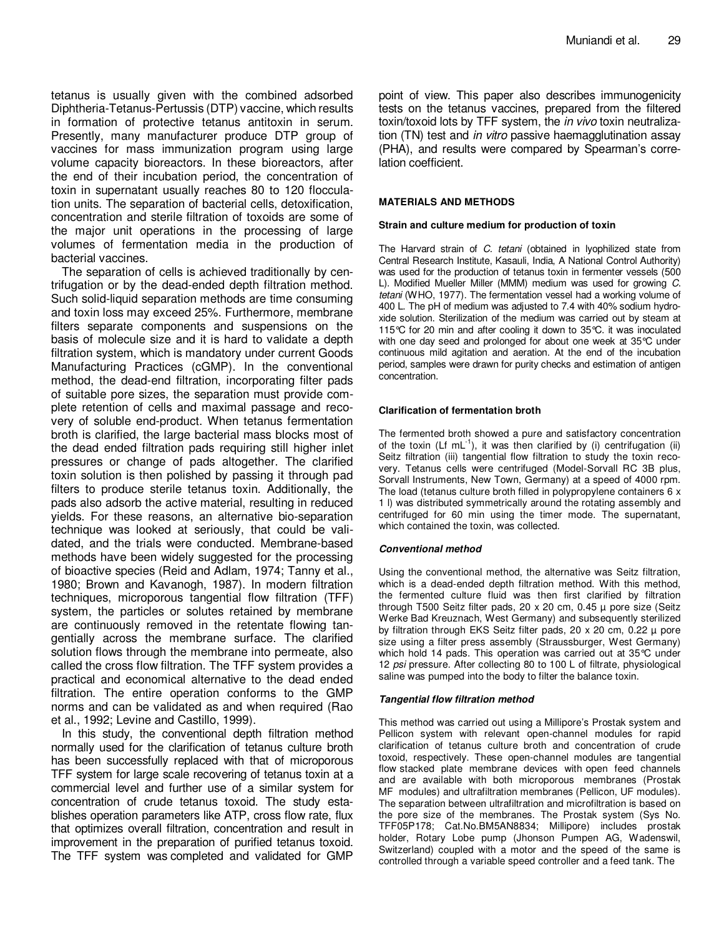tetanus is usually given with the combined adsorbed Diphtheria-Tetanus-Pertussis (DTP) vaccine, which results in formation of protective tetanus antitoxin in serum. Presently, many manufacturer produce DTP group of vaccines for mass immunization program using large volume capacity bioreactors. In these bioreactors, after the end of their incubation period, the concentration of toxin in supernatant usually reaches 80 to 120 flocculation units. The separation of bacterial cells, detoxification, concentration and sterile filtration of toxoids are some of the major unit operations in the processing of large volumes of fermentation media in the production of bacterial vaccines.

The separation of cells is achieved traditionally by centrifugation or by the dead-ended depth filtration method. Such solid-liquid separation methods are time consuming and toxin loss may exceed 25%. Furthermore, membrane filters separate components and suspensions on the basis of molecule size and it is hard to validate a depth filtration system, which is mandatory under current Goods Manufacturing Practices (cGMP). In the conventional method, the dead-end filtration, incorporating filter pads of suitable pore sizes, the separation must provide complete retention of cells and maximal passage and recovery of soluble end-product. When tetanus fermentation broth is clarified, the large bacterial mass blocks most of the dead ended filtration pads requiring still higher inlet pressures or change of pads altogether. The clarified toxin solution is then polished by passing it through pad filters to produce sterile tetanus toxin. Additionally, the pads also adsorb the active material, resulting in reduced yields. For these reasons, an alternative bio-separation technique was looked at seriously, that could be validated, and the trials were conducted. Membrane-based methods have been widely suggested for the processing of bioactive species (Reid and Adlam, 1974; Tanny et al., 1980; Brown and Kavanogh, 1987). In modern filtration techniques, microporous tangential flow filtration (TFF) system, the particles or solutes retained by membrane are continuously removed in the retentate flowing tangentially across the membrane surface. The clarified solution flows through the membrane into permeate, also called the cross flow filtration. The TFF system provides a practical and economical alternative to the dead ended filtration. The entire operation conforms to the GMP norms and can be validated as and when required (Rao et al., 1992; Levine and Castillo, 1999).

In this study, the conventional depth filtration method normally used for the clarification of tetanus culture broth has been successfully replaced with that of microporous TFF system for large scale recovering of tetanus toxin at a commercial level and further use of a similar system for concentration of crude tetanus toxoid. The study establishes operation parameters like ATP, cross flow rate, flux that optimizes overall filtration, concentration and result in improvement in the preparation of purified tetanus toxoid. The TFF system was completed and validated for GMP

point of view. This paper also describes immunogenicity tests on the tetanus vaccines, prepared from the filtered toxin/toxoid lots by TFF system, the *in vivo* toxin neutralization (TN) test and in vitro passive haemagglutination assay (PHA), and results were compared by Spearman's correlation coefficient.

## **MATERIALS AND METHODS**

## **Strain and culture medium for production of toxin**

The Harvard strain of C. tetani (obtained in lyophilized state from Central Research Institute, Kasauli, India, A National Control Authority) was used for the production of tetanus toxin in fermenter vessels (500 L). Modified Mueller Miller (MMM) medium was used for growing C. tetani (WHO, 1977). The fermentation vessel had a working volume of 400 L. The pH of medium was adjusted to 7.4 with 40% sodium hydroxide solution. Sterilization of the medium was carried out by steam at 115°C for 20 min and after cooling it down to 35°C. it was inoculated with one day seed and prolonged for about one week at 35°C under continuous mild agitation and aeration. At the end of the incubation period, samples were drawn for purity checks and estimation of antigen concentration.

## **Clarification of fermentation broth**

The fermented broth showed a pure and satisfactory concentration of the toxin (Lf mL<sup>-1</sup>), it was then clarified by (i) centrifugation (ii) Seitz filtration (iii) tangential flow filtration to study the toxin recovery. Tetanus cells were centrifuged (Model-Sorvall RC 3B plus, Sorvall Instruments, New Town, Germany) at a speed of 4000 rpm. The load (tetanus culture broth filled in polypropylene containers 6 x 1 l) was distributed symmetrically around the rotating assembly and centrifuged for 60 min using the timer mode. The supernatant, which contained the toxin, was collected.

## **Conventional method**

Using the conventional method, the alternative was Seitz filtration, which is a dead-ended depth filtration method. With this method, the fermented culture fluid was then first clarified by filtration through T500 Seitz filter pads, 20 x 20 cm, 0.45 µ pore size (Seitz Werke Bad Kreuznach, West Germany) and subsequently sterilized by filtration through EKS Seitz filter pads, 20 x 20 cm, 0.22 µ pore size using a filter press assembly (Straussburger, West Germany) which hold 14 pads. This operation was carried out at 35°C under 12 psi pressure. After collecting 80 to 100 L of filtrate, physiological saline was pumped into the body to filter the balance toxin.

## **Tangential flow filtration method**

This method was carried out using a Millipore's Prostak system and Pellicon system with relevant open-channel modules for rapid clarification of tetanus culture broth and concentration of crude toxoid, respectively. These open-channel modules are tangential flow stacked plate membrane devices with open feed channels and are available with both microporous membranes (Prostak MF modules) and ultrafiltration membranes (Pellicon, UF modules). The separation between ultrafiltration and microfiltration is based on the pore size of the membranes. The Prostak system (Sys No. TFF05P178; Cat.No.BM5AN8834; Millipore) includes prostak holder, Rotary Lobe pump (Jhonson Pumpen AG, Wadenswil, Switzerland) coupled with a motor and the speed of the same is controlled through a variable speed controller and a feed tank. The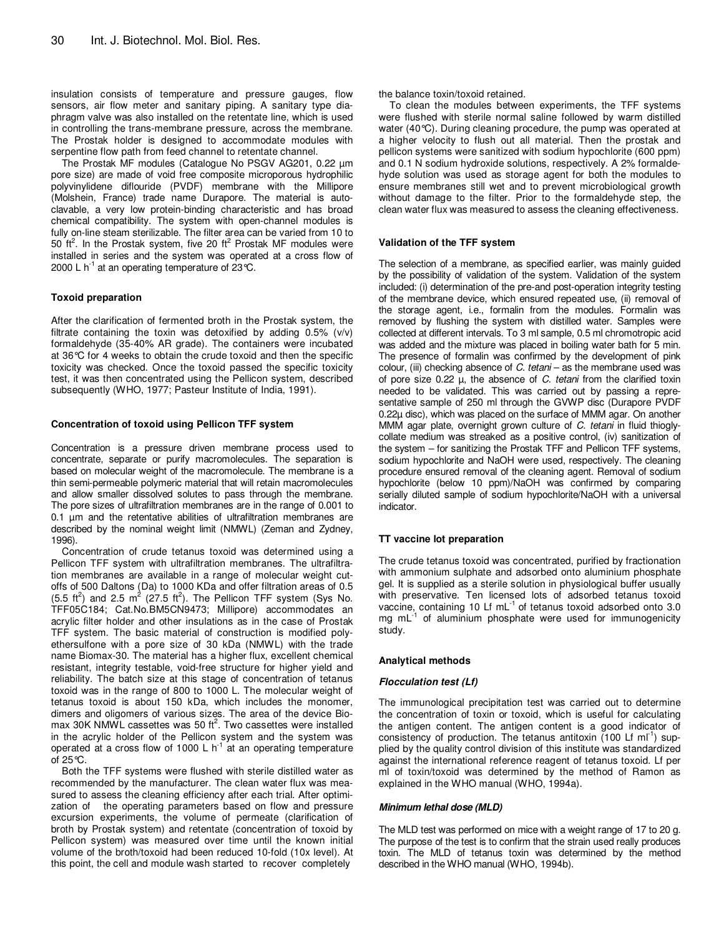insulation consists of temperature and pressure gauges, flow sensors, air flow meter and sanitary piping. A sanitary type diaphragm valve was also installed on the retentate line, which is used in controlling the trans-membrane pressure, across the membrane. The Prostak holder is designed to accommodate modules with serpentine flow path from feed channel to retentate channel.

The Prostak MF modules (Catalogue No PSGV AG201, 0.22 µm pore size) are made of void free composite microporous hydrophilic polyvinylidene diflouride (PVDF) membrane with the Millipore (Molshein, France) trade name Durapore. The material is autoclavable, a very low protein-binding characteristic and has broad chemical compatibility. The system with open-channel modules is fully on-line steam sterilizable. The filter area can be varied from 10 to 50 ft<sup>2</sup>. In the Prostak system, five 20 ft<sup>2</sup> Prostak MF modules were installed in series and the system was operated at a cross flow of 2000 L h<sup>-1</sup> at an operating temperature of 23 $^{\circ}$ C.

#### **Toxoid preparation**

After the clarification of fermented broth in the Prostak system, the filtrate containing the toxin was detoxified by adding 0.5% (v/v) formaldehyde (35-40% AR grade). The containers were incubated at 36°C for 4 weeks to obtain the crude toxoid and then the specific toxicity was checked. Once the toxoid passed the specific toxicity test, it was then concentrated using the Pellicon system, described subsequently (WHO, 1977; Pasteur Institute of India, 1991).

#### **Concentration of toxoid using Pellicon TFF system**

Concentration is a pressure driven membrane process used to concentrate, separate or purify macromolecules. The separation is based on molecular weight of the macromolecule. The membrane is a thin semi-permeable polymeric material that will retain macromolecules and allow smaller dissolved solutes to pass through the membrane. The pore sizes of ultrafiltration membranes are in the range of 0.001 to 0.1 µm and the retentative abilities of ultrafiltration membranes are described by the nominal weight limit (NMWL) (Zeman and Zydney, 1996).

Concentration of crude tetanus toxoid was determined using a Pellicon TFF system with ultrafiltration membranes. The ultrafiltration membranes are available in a range of molecular weight cutoffs of 500 Daltons (Da) to 1000 KDa and offer filtration areas of 0.5  $(5.5 \text{ ft}^2)$  and 2.5 m<sup>2</sup> (27.5 ft<sup>2</sup>). The Pellicon TFF system (Sys No. TFF05C184; Cat.No.BM5CN9473; Millipore) accommodates an acrylic filter holder and other insulations as in the case of Prostak TFF system. The basic material of construction is modified polyethersulfone with a pore size of 30 kDa (NMWL) with the trade name Biomax-30. The material has a higher flux, excellent chemical resistant, integrity testable, void-free structure for higher yield and reliability. The batch size at this stage of concentration of tetanus toxoid was in the range of 800 to 1000 L. The molecular weight of tetanus toxoid is about 150 kDa, which includes the monomer, dimers and oligomers of various sizes. The area of the device Biomax 30K NMWL cassettes was 50 ft<sup>2</sup>. Two cassettes were installed in the acrylic holder of the Pellicon system and the system was operated at a cross flow of 1000 L  $h^{-1}$  at an operating temperature of  $25^{\circ}$ C.

Both the TFF systems were flushed with sterile distilled water as recommended by the manufacturer. The clean water flux was measured to assess the cleaning efficiency after each trial. After optimization of the operating parameters based on flow and pressure excursion experiments, the volume of permeate (clarification of broth by Prostak system) and retentate (concentration of toxoid by Pellicon system) was measured over time until the known initial volume of the broth/toxoid had been reduced 10-fold (10x level). At this point, the cell and module wash started to recover completely

the balance toxin/toxoid retained.

To clean the modules between experiments, the TFF systems were flushed with sterile normal saline followed by warm distilled water (40°C). During cleaning procedure, the pump was operated at a higher velocity to flush out all material. Then the prostak and pellicon systems were sanitized with sodium hypochlorite (600 ppm) and 0.1 N sodium hydroxide solutions, respectively. A 2% formaldehyde solution was used as storage agent for both the modules to ensure membranes still wet and to prevent microbiological growth without damage to the filter. Prior to the formaldehyde step, the clean water flux was measured to assess the cleaning effectiveness.

#### **Validation of the TFF system**

The selection of a membrane, as specified earlier, was mainly guided by the possibility of validation of the system. Validation of the system included: (i) determination of the pre-and post-operation integrity testing of the membrane device, which ensured repeated use, (ii) removal of the storage agent, i.e., formalin from the modules. Formalin was removed by flushing the system with distilled water. Samples were collected at different intervals. To 3 ml sample, 0.5 ml chromotropic acid was added and the mixture was placed in boiling water bath for 5 min. The presence of formalin was confirmed by the development of pink colour, (iii) checking absence of  $C$ . tetani – as the membrane used was of pore size  $0.22 \mu$ , the absence of C. tetani from the clarified toxin needed to be validated. This was carried out by passing a representative sample of 250 ml through the GVWP disc (Durapore PVDF 0.22µ disc), which was placed on the surface of MMM agar. On another MMM agar plate, overnight grown culture of C. tetani in fluid thioglycollate medium was streaked as a positive control, (iv) sanitization of the system – for sanitizing the Prostak TFF and Pellicon TFF systems, sodium hypochlorite and NaOH were used, respectively. The cleaning procedure ensured removal of the cleaning agent. Removal of sodium hypochlorite (below 10 ppm)/NaOH was confirmed by comparing serially diluted sample of sodium hypochlorite/NaOH with a universal indicator.

#### **TT vaccine lot preparation**

The crude tetanus toxoid was concentrated, purified by fractionation with ammonium sulphate and adsorbed onto aluminium phosphate gel. It is supplied as a sterile solution in physiological buffer usually with preservative. Ten licensed lots of adsorbed tetanus toxoid vaccine, containing 10 Lf mL<sup>-1</sup> of tetanus toxoid adsorbed onto 3.0 mg  $mL^{-1}$  of aluminium phosphate were used for immunogenicity study.

#### **Analytical methods**

#### **Flocculation test (Lf)**

The immunological precipitation test was carried out to determine the concentration of toxin or toxoid, which is useful for calculating the antigen content. The antigen content is a good indicator of consistency of production. The tetanus antitoxin (100 Lf  $ml^{-1}$ ) supplied by the quality control division of this institute was standardized against the international reference reagent of tetanus toxoid. Lf per ml of toxin/toxoid was determined by the method of Ramon as explained in the WHO manual (WHO, 1994a).

#### **Minimum lethal dose (MLD)**

The MLD test was performed on mice with a weight range of 17 to 20 g. The purpose of the test is to confirm that the strain used really produces toxin. The MLD of tetanus toxin was determined by the method described in the WHO manual (WHO, 1994b).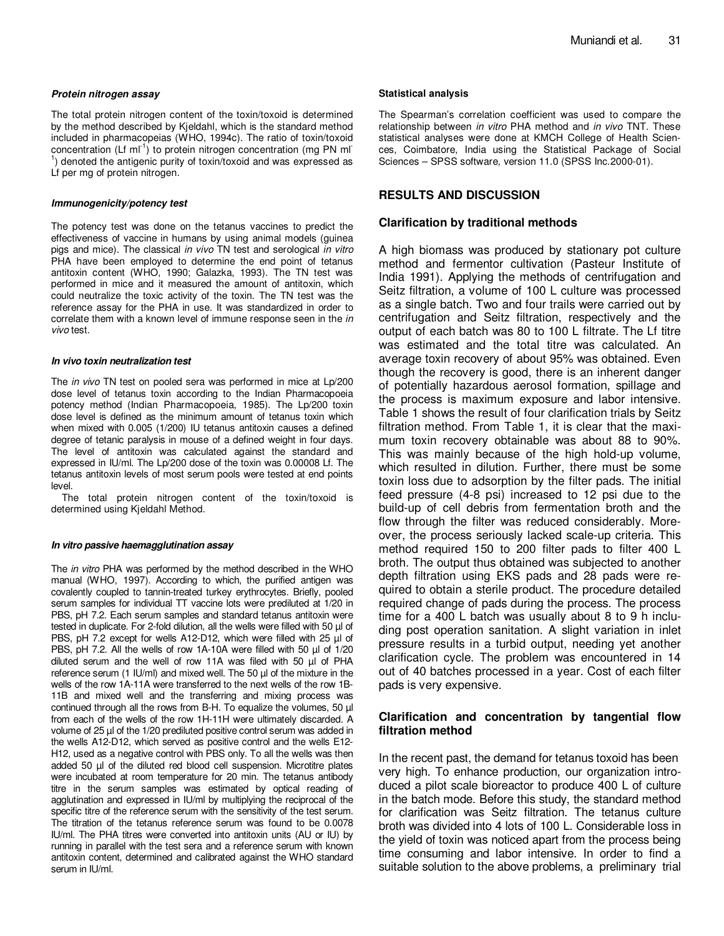## **Protein nitrogen assay**

The total protein nitrogen content of the toxin/toxoid is determined by the method described by Kjeldahl, which is the standard method included in pharmacopeias (WHO, 1994c). The ratio of toxin/toxoid concentration (Lf  $ml^{-1}$ ) to protein nitrogen concentration (mg PN ml<sup>-</sup> <sup>1</sup>) denoted the antigenic purity of toxin/toxoid and was expressed as Lf per mg of protein nitrogen.

#### **Immunogenicity/potency test**

The potency test was done on the tetanus vaccines to predict the effectiveness of vaccine in humans by using animal models (guinea pigs and mice). The classical in vivo TN test and serological in vitro PHA have been employed to determine the end point of tetanus antitoxin content (WHO, 1990; Galazka, 1993). The TN test was performed in mice and it measured the amount of antitoxin, which could neutralize the toxic activity of the toxin. The TN test was the reference assay for the PHA in use. It was standardized in order to correlate them with a known level of immune response seen in the in vivo test.

#### **In vivo toxin neutralization test**

The in vivo TN test on pooled sera was performed in mice at Lp/200 dose level of tetanus toxin according to the Indian Pharmacopoeia potency method (Indian Pharmacopoeia, 1985). The Lp/200 toxin dose level is defined as the minimum amount of tetanus toxin which when mixed with 0.005 (1/200) IU tetanus antitoxin causes a defined degree of tetanic paralysis in mouse of a defined weight in four days. The level of antitoxin was calculated against the standard and expressed in IU/ml. The Lp/200 dose of the toxin was 0.00008 Lf. The tetanus antitoxin levels of most serum pools were tested at end points level.

The total protein nitrogen content of the toxin/toxoid is determined using Kjeldahl Method.

#### **In vitro passive haemagglutination assay**

The in vitro PHA was performed by the method described in the WHO manual (WHO, 1997). According to which, the purified antigen was covalently coupled to tannin-treated turkey erythrocytes. Briefly, pooled serum samples for individual TT vaccine lots were prediluted at 1/20 in PBS, pH 7.2. Each serum samples and standard tetanus antitoxin were tested in duplicate. For 2-fold dilution, all the wells were filled with 50 µl of PBS, pH 7.2 except for wells A12-D12, which were filled with 25 µl of PBS, pH 7.2. All the wells of row 1A-10A were filled with 50 µl of 1/20 diluted serum and the well of row 11A was filed with 50 µl of PHA reference serum (1 IU/ml) and mixed well. The 50 µl of the mixture in the wells of the row 1A-11A were transferred to the next wells of the row 1B-11B and mixed well and the transferring and mixing process was continued through all the rows from B-H. To equalize the volumes, 50  $\mu$ from each of the wells of the row 1H-11H were ultimately discarded. A volume of 25 µl of the 1/20 prediluted positive control serum was added in the wells A12-D12, which served as positive control and the wells E12- H12, used as a negative control with PBS only. To all the wells was then added 50 µl of the diluted red blood cell suspension. Microtitre plates were incubated at room temperature for 20 min. The tetanus antibody titre in the serum samples was estimated by optical reading of agglutination and expressed in IU/ml by multiplying the reciprocal of the specific titre of the reference serum with the sensitivity of the test serum. The titration of the tetanus reference serum was found to be 0.0078 IU/ml. The PHA titres were converted into antitoxin units (AU or IU) by running in parallel with the test sera and a reference serum with known antitoxin content, determined and calibrated against the WHO standard serum in IU/ml.

#### **Statistical analysis**

The Spearman's correlation coefficient was used to compare the relationship between *in vitro* PHA method and *in vivo* TNT. These statistical analyses were done at KMCH College of Health Sciences, Coimbatore, India using the Statistical Package of Social Sciences – SPSS software, version 11.0 (SPSS Inc.2000-01).

## **RESULTS AND DISCUSSION**

## **Clarification by traditional methods**

A high biomass was produced by stationary pot culture method and fermentor cultivation (Pasteur Institute of India 1991). Applying the methods of centrifugation and Seitz filtration, a volume of 100 L culture was processed as a single batch. Two and four trails were carried out by centrifugation and Seitz filtration, respectively and the output of each batch was 80 to 100 L filtrate. The Lf titre was estimated and the total titre was calculated. An average toxin recovery of about 95% was obtained. Even though the recovery is good, there is an inherent danger of potentially hazardous aerosol formation, spillage and the process is maximum exposure and labor intensive. Table 1 shows the result of four clarification trials by Seitz filtration method. From Table 1, it is clear that the maximum toxin recovery obtainable was about 88 to 90%. This was mainly because of the high hold-up volume, which resulted in dilution. Further, there must be some toxin loss due to adsorption by the filter pads. The initial feed pressure (4-8 psi) increased to 12 psi due to the build-up of cell debris from fermentation broth and the flow through the filter was reduced considerably. Moreover, the process seriously lacked scale-up criteria. This method required 150 to 200 filter pads to filter 400 L broth. The output thus obtained was subjected to another depth filtration using EKS pads and 28 pads were required to obtain a sterile product. The procedure detailed required change of pads during the process. The process time for a 400 L batch was usually about 8 to 9 h including post operation sanitation. A slight variation in inlet pressure results in a turbid output, needing yet another clarification cycle. The problem was encountered in 14 out of 40 batches processed in a year. Cost of each filter pads is very expensive.

## **Clarification and concentration by tangential flow filtration method**

In the recent past, the demand for tetanus toxoid has been very high. To enhance production, our organization introduced a pilot scale bioreactor to produce 400 L of culture in the batch mode. Before this study, the standard method for clarification was Seitz filtration. The tetanus culture broth was divided into 4 lots of 100 L. Considerable loss in the yield of toxin was noticed apart from the process being time consuming and labor intensive. In order to find a suitable solution to the above problems, a preliminary trial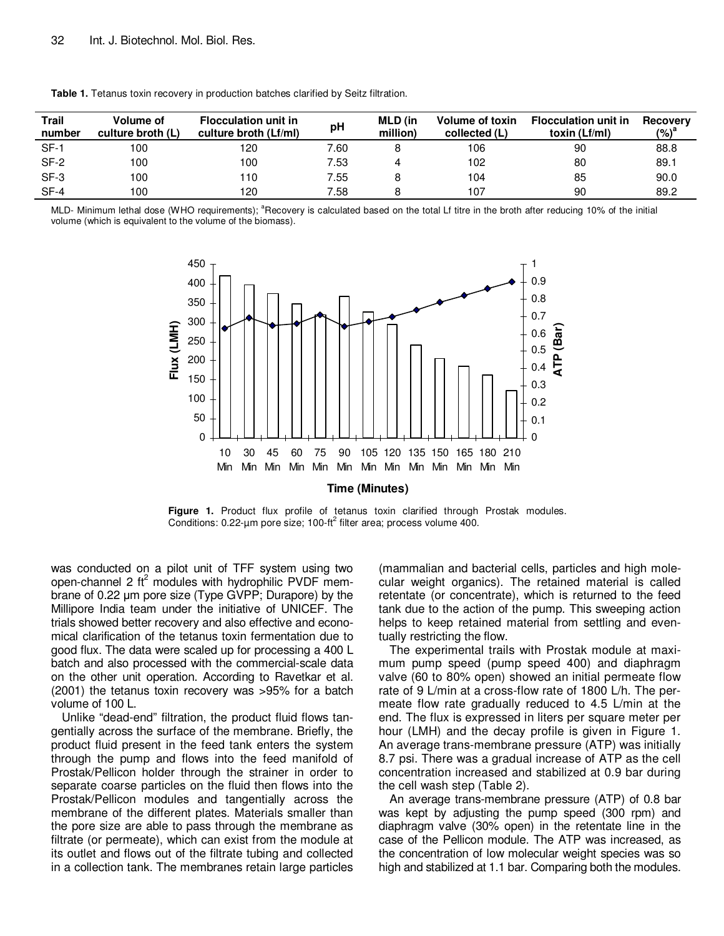| Trail<br>number | Volume of<br>culture broth (L) | <b>Flocculation unit in</b><br>culture broth (Lf/ml) | pH   | <b>MLD</b> (in<br>million) | <b>Volume of toxin</b><br>collected (L) | <b>Flocculation unit in</b><br>toxin (Lf/ml) | Recovery<br>(%) <sup>a</sup> |
|-----------------|--------------------------------|------------------------------------------------------|------|----------------------------|-----------------------------------------|----------------------------------------------|------------------------------|
| $SF-1$          | 100                            | 20 ا                                                 | 7.60 |                            | 106                                     | 90                                           | 88.8                         |
| SF-2            | 100                            | 100                                                  | 7.53 |                            | 102                                     | 80                                           | 89.1                         |
| $SF-3$          | 100                            | 110                                                  | 7.55 |                            | 104                                     | 85                                           | 90.0                         |
| $SF-4$          | 100                            | 120                                                  | 7.58 |                            | 107                                     | 90                                           | 89.2                         |

**Table 1.** Tetanus toxin recovery in production batches clarified by Seitz filtration.

MLD- Minimum lethal dose (WHO requirements); <sup>a</sup>Recovery is calculated based on the total Lf titre in the broth after reducing 10% of the initial volume (which is equivalent to the volume of the biomass).



**Figure 1.** Product flux profile of tetanus toxin clarified through Prostak modules. Conditions:  $0.22$ -µm pore size; 100-ft<sup>2</sup> filter area; process volume 400.

was conducted on a pilot unit of TFF system using two open-channel 2 ft<sup>2</sup> modules with hydrophilic PVDF membrane of 0.22 µm pore size (Type GVPP; Durapore) by the Millipore India team under the initiative of UNICEF. The trials showed better recovery and also effective and economical clarification of the tetanus toxin fermentation due to good flux. The data were scaled up for processing a 400 L batch and also processed with the commercial-scale data on the other unit operation. According to Ravetkar et al. (2001) the tetanus toxin recovery was >95% for a batch volume of 100 L.

Unlike "dead-end" filtration, the product fluid flows tangentially across the surface of the membrane. Briefly, the product fluid present in the feed tank enters the system through the pump and flows into the feed manifold of Prostak/Pellicon holder through the strainer in order to separate coarse particles on the fluid then flows into the Prostak/Pellicon modules and tangentially across the membrane of the different plates. Materials smaller than the pore size are able to pass through the membrane as filtrate (or permeate), which can exist from the module at its outlet and flows out of the filtrate tubing and collected in a collection tank. The membranes retain large particles

(mammalian and bacterial cells, particles and high molecular weight organics). The retained material is called retentate (or concentrate), which is returned to the feed tank due to the action of the pump. This sweeping action helps to keep retained material from settling and eventually restricting the flow.

The experimental trails with Prostak module at maximum pump speed (pump speed 400) and diaphragm valve (60 to 80% open) showed an initial permeate flow rate of 9 L/min at a cross-flow rate of 1800 L/h. The permeate flow rate gradually reduced to 4.5 L/min at the end. The flux is expressed in liters per square meter per hour (LMH) and the decay profile is given in Figure 1. An average trans-membrane pressure (ATP) was initially 8.7 psi. There was a gradual increase of ATP as the cell concentration increased and stabilized at 0.9 bar during the cell wash step (Table 2).

An average trans-membrane pressure (ATP) of 0.8 bar was kept by adjusting the pump speed (300 rpm) and diaphragm valve (30% open) in the retentate line in the case of the Pellicon module. The ATP was increased, as the concentration of low molecular weight species was so high and stabilized at 1.1 bar. Comparing both the modules.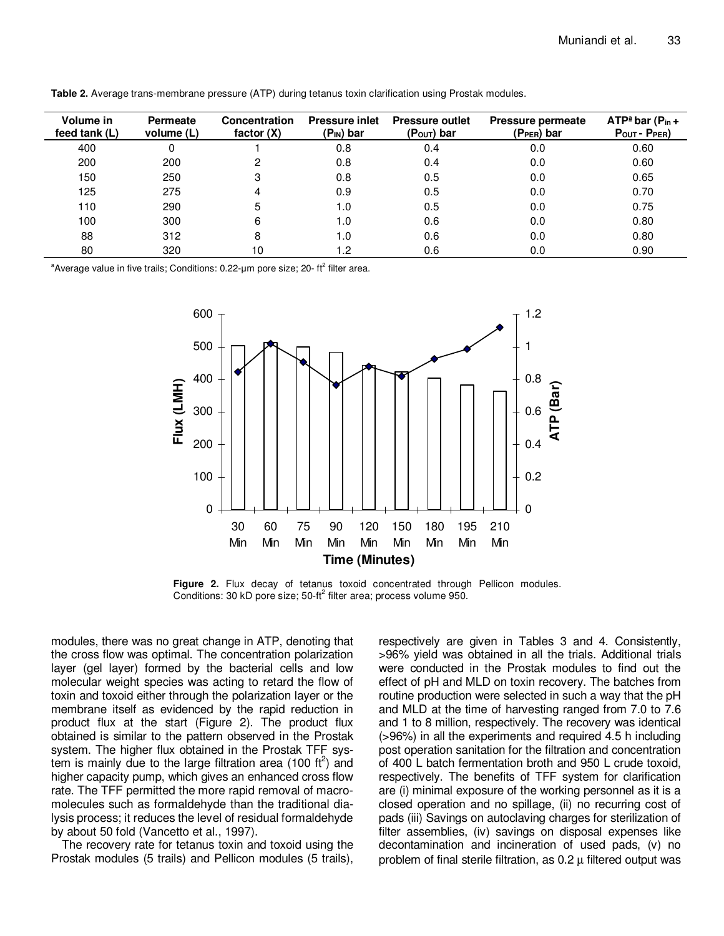| Volume in<br>feed tank (L) | <b>Permeate</b><br>volume (L) | Concentration<br>factor $(X)$ | <b>Pressure inlet</b><br>$(P_{IN})$ bar | <b>Pressure outlet</b><br>$(POUT)$ bar | <b>Pressure permeate</b><br>$(P_{PER})$ bar | ATP <sup>a</sup> bar ( $P_{in}$ +<br>$P_{OUT}$ - $P_{PER}$ ) |
|----------------------------|-------------------------------|-------------------------------|-----------------------------------------|----------------------------------------|---------------------------------------------|--------------------------------------------------------------|
| 400                        | 0                             |                               | 0.8                                     | 0.4                                    | 0.0                                         | 0.60                                                         |
| 200                        | 200                           | 2                             | 0.8                                     | 0.4                                    | 0.0                                         | 0.60                                                         |
| 150                        | 250                           | 3                             | 0.8                                     | 0.5                                    | 0.0                                         | 0.65                                                         |
| 125                        | 275                           | 4                             | 0.9                                     | 0.5                                    | 0.0                                         | 0.70                                                         |
| 110                        | 290                           | 5                             | 1.0                                     | 0.5                                    | 0.0                                         | 0.75                                                         |
| 100                        | 300                           | 6                             | 1.0                                     | 0.6                                    | 0.0                                         | 0.80                                                         |
| 88                         | 312                           | 8                             | 1.0                                     | 0.6                                    | 0.0                                         | 0.80                                                         |
| 80                         | 320                           | 10                            | 1.2                                     | 0.6                                    | 0.0                                         | 0.90                                                         |

**Table 2.** Average trans-membrane pressure (ATP) during tetanus toxin clarification using Prostak modules.

<sup>a</sup>Average value in five trails; Conditions: 0.22-µm pore size; 20- ft<sup>2</sup> filter area.



**Figure 2.** Flux decay of tetanus toxoid concentrated through Pellicon modules. Conditions: 30 kD pore size; 50-ft<sup>2</sup> filter area; process volume 950.

modules, there was no great change in ATP, denoting that the cross flow was optimal. The concentration polarization layer (gel layer) formed by the bacterial cells and low molecular weight species was acting to retard the flow of toxin and toxoid either through the polarization layer or the membrane itself as evidenced by the rapid reduction in product flux at the start (Figure 2). The product flux obtained is similar to the pattern observed in the Prostak system. The higher flux obtained in the Prostak TFF system is mainly due to the large filtration area (100 ft<sup>2</sup>) and higher capacity pump, which gives an enhanced cross flow rate. The TFF permitted the more rapid removal of macromolecules such as formaldehyde than the traditional dialysis process; it reduces the level of residual formaldehyde by about 50 fold (Vancetto et al., 1997).

The recovery rate for tetanus toxin and toxoid using the Prostak modules (5 trails) and Pellicon modules (5 trails),

respectively are given in Tables 3 and 4. Consistently, >96% yield was obtained in all the trials. Additional trials were conducted in the Prostak modules to find out the effect of pH and MLD on toxin recovery. The batches from routine production were selected in such a way that the pH and MLD at the time of harvesting ranged from 7.0 to 7.6 and 1 to 8 million, respectively. The recovery was identical (>96%) in all the experiments and required 4.5 h including post operation sanitation for the filtration and concentration of 400 L batch fermentation broth and 950 L crude toxoid, respectively. The benefits of TFF system for clarification are (i) minimal exposure of the working personnel as it is a closed operation and no spillage, (ii) no recurring cost of pads (iii) Savings on autoclaving charges for sterilization of filter assemblies, (iv) savings on disposal expenses like decontamination and incineration of used pads, (v) no problem of final sterile filtration, as  $0.2 \mu$  filtered output was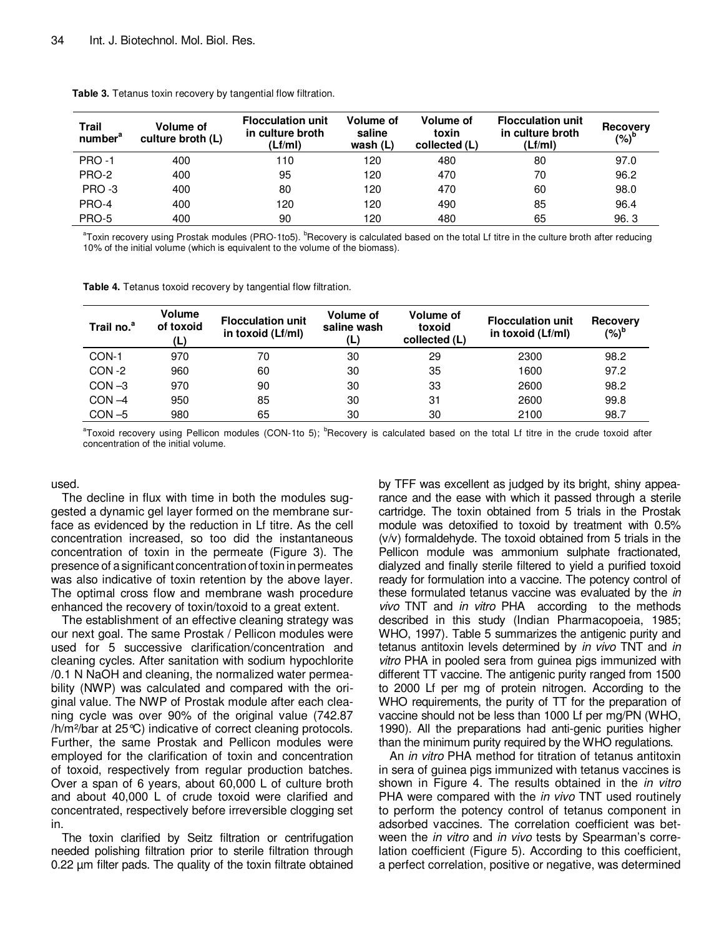| Trail<br>number <sup>a</sup> | Volume of<br>culture broth (L) | <b>Flocculation unit</b><br>in culture broth<br>(Lf/ml) | Volume of<br>saline<br>wash (L) | Volume of<br>toxin<br>collected (L) | <b>Flocculation unit</b><br>in culture broth<br>(Lf/ml) | Recovery<br>$(%)^b$ |
|------------------------------|--------------------------------|---------------------------------------------------------|---------------------------------|-------------------------------------|---------------------------------------------------------|---------------------|
| <b>PRO-1</b>                 | 400                            | 110                                                     | 120                             | 480                                 | 80                                                      | 97.0                |
| PRO-2                        | 400                            | 95                                                      | 120                             | 470                                 | 70                                                      | 96.2                |
| PRO-3                        | 400                            | 80                                                      | 120                             | 470                                 | 60                                                      | 98.0                |
| PRO-4                        | 400                            | 120                                                     | 120                             | 490                                 | 85                                                      | 96.4                |
| PRO-5                        | 400                            | 90                                                      | 120                             | 480                                 | 65                                                      | 96.3                |

**Table 3.** Tetanus toxin recovery by tangential flow filtration.

<sup>a</sup>Toxin recovery using Prostak modules (PRO-1to5). <sup>b</sup>Recovery is calculated based on the total Lf titre in the culture broth after reducing 10% of the initial volume (which is equivalent to the volume of the biomass).

**Table 4.** Tetanus toxoid recovery by tangential flow filtration.

| Trail no. <sup>a</sup> | <b>Volume</b><br>of toxoid<br>(L) | <b>Flocculation unit</b><br>in toxoid (Lf/ml) | <b>Volume of</b><br>saline wash<br>(L) | <b>Volume of</b><br>toxoid<br>collected (L) | <b>Flocculation unit</b><br>in toxoid (Lf/ml) | <b>Recovery</b><br>$(\%)^{\mathsf{t}}$ |
|------------------------|-----------------------------------|-----------------------------------------------|----------------------------------------|---------------------------------------------|-----------------------------------------------|----------------------------------------|
| CON-1                  | 970                               | 70                                            | 30                                     | 29                                          | 2300                                          | 98.2                                   |
| CON-2                  | 960                               | 60                                            | 30                                     | 35                                          | 1600                                          | 97.2                                   |
| $CON-3$                | 970                               | 90                                            | 30                                     | 33                                          | 2600                                          | 98.2                                   |
| $CON - 4$              | 950                               | 85                                            | 30                                     | 31                                          | 2600                                          | 99.8                                   |
| $CON - 5$              | 980                               | 65                                            | 30                                     | 30                                          | 2100                                          | 98.7                                   |

<sup>a</sup>Toxoid recovery using Pellicon modules (CON-1to 5); <sup>b</sup>Recovery is calculated based on the total Lf titre in the crude toxoid after concentration of the initial volume.

## used.

The decline in flux with time in both the modules suggested a dynamic gel layer formed on the membrane surface as evidenced by the reduction in Lf titre. As the cell concentration increased, so too did the instantaneous concentration of toxin in the permeate (Figure 3). The presence of a significant concentration of toxin in permeates was also indicative of toxin retention by the above layer. The optimal cross flow and membrane wash procedure enhanced the recovery of toxin/toxoid to a great extent.

The establishment of an effective cleaning strategy was our next goal. The same Prostak / Pellicon modules were used for 5 successive clarification/concentration and cleaning cycles. After sanitation with sodium hypochlorite /0.1 N NaOH and cleaning, the normalized water permeability (NWP) was calculated and compared with the original value. The NWP of Prostak module after each cleaning cycle was over 90% of the original value (742.87 /h/m²/bar at 25°C) indicative of correct cleaning protocols. Further, the same Prostak and Pellicon modules were employed for the clarification of toxin and concentration of toxoid, respectively from regular production batches. Over a span of 6 years, about 60,000 L of culture broth and about 40,000 L of crude toxoid were clarified and concentrated, respectively before irreversible clogging set in.

The toxin clarified by Seitz filtration or centrifugation needed polishing filtration prior to sterile filtration through 0.22 µm filter pads. The quality of the toxin filtrate obtained by TFF was excellent as judged by its bright, shiny appearance and the ease with which it passed through a sterile cartridge. The toxin obtained from 5 trials in the Prostak module was detoxified to toxoid by treatment with 0.5% (v/v) formaldehyde. The toxoid obtained from 5 trials in the Pellicon module was ammonium sulphate fractionated, dialyzed and finally sterile filtered to yield a purified toxoid ready for formulation into a vaccine. The potency control of these formulated tetanus vaccine was evaluated by the in vivo TNT and in vitro PHA according to the methods described in this study (Indian Pharmacopoeia, 1985; WHO, 1997). Table 5 summarizes the antigenic purity and tetanus antitoxin levels determined by *in vivo* TNT and *in* vitro PHA in pooled sera from guinea pigs immunized with different TT vaccine. The antigenic purity ranged from 1500 to 2000 Lf per mg of protein nitrogen. According to the WHO requirements, the purity of TT for the preparation of vaccine should not be less than 1000 Lf per mg/PN (WHO, 1990). All the preparations had anti-genic purities higher than the minimum purity required by the WHO regulations.

An *in vitro* PHA method for titration of tetanus antitoxin in sera of guinea pigs immunized with tetanus vaccines is shown in Figure 4. The results obtained in the *in vitro* PHA were compared with the *in vivo* TNT used routinely to perform the potency control of tetanus component in adsorbed vaccines. The correlation coefficient was between the in vitro and in vivo tests by Spearman's correlation coefficient (Figure 5). According to this coefficient, a perfect correlation, positive or negative, was determined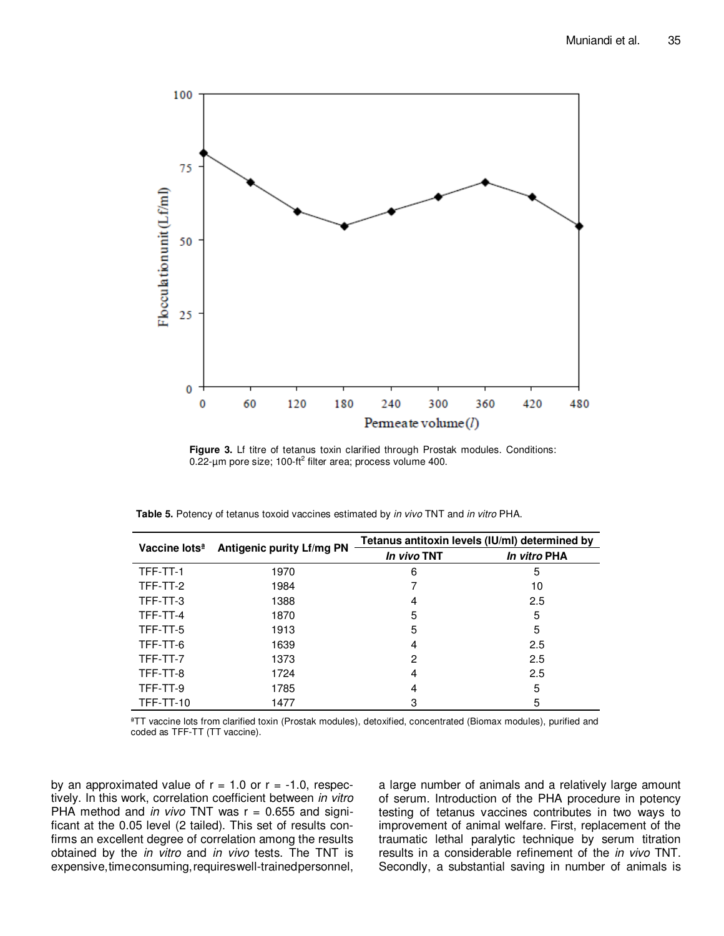

**Figure 3.** Lf titre of tetanus toxin clarified through Prostak modules. Conditions:  $0.22$ -µm pore size; 100-ft $^2$  filter area; process volume 400.

|                           |                                  | Tetanus antitoxin levels (IU/ml) determined by |              |  |  |
|---------------------------|----------------------------------|------------------------------------------------|--------------|--|--|
| Vaccine lots <sup>a</sup> | <b>Antigenic purity Lf/mg PN</b> | In vivo TNT                                    | In vitro PHA |  |  |
| TFF-TT-1                  | 1970                             | 6                                              | 5            |  |  |
| TFF-TT-2                  | 1984                             |                                                | 10           |  |  |
| TFF-TT-3                  | 1388                             | 4                                              | 2.5          |  |  |
| TFF-TT-4                  | 1870                             | 5                                              | 5            |  |  |
| TFF-TT-5                  | 1913                             | 5                                              | 5            |  |  |
| TFF-TT-6                  | 1639                             | 4                                              | 2.5          |  |  |
| TFF-TT-7                  | 1373                             | 2                                              | 2.5          |  |  |
| TFF-TT-8                  | 1724                             | 4                                              | 2.5          |  |  |
| TFF-TT-9                  | 1785                             | 4                                              | 5            |  |  |
| TFF-TT-10                 | 1477                             | 3                                              | 5            |  |  |

**Table 5.** Potency of tetanus toxoid vaccines estimated by in vivo TNT and in vitro PHA.

<sup>a</sup>TT vaccine lots from clarified toxin (Prostak modules), detoxified, concentrated (Biomax modules), purified and coded as TFF-TT (TT vaccine).

by an approximated value of  $r = 1.0$  or  $r = -1.0$ , respectively. In this work, correlation coefficient between in vitro PHA method and in vivo TNT was  $r = 0.655$  and significant at the 0.05 level (2 tailed). This set of results confirms an excellent degree of correlation among the results obtained by the in vitro and in vivo tests. The TNT is expensive, time consuming, requires well-trained personnel, a large number of animals and a relatively large amount of serum. Introduction of the PHA procedure in potency testing of tetanus vaccines contributes in two ways to improvement of animal welfare. First, replacement of the traumatic lethal paralytic technique by serum titration results in a considerable refinement of the in vivo TNT. Secondly, a substantial saving in number of animals is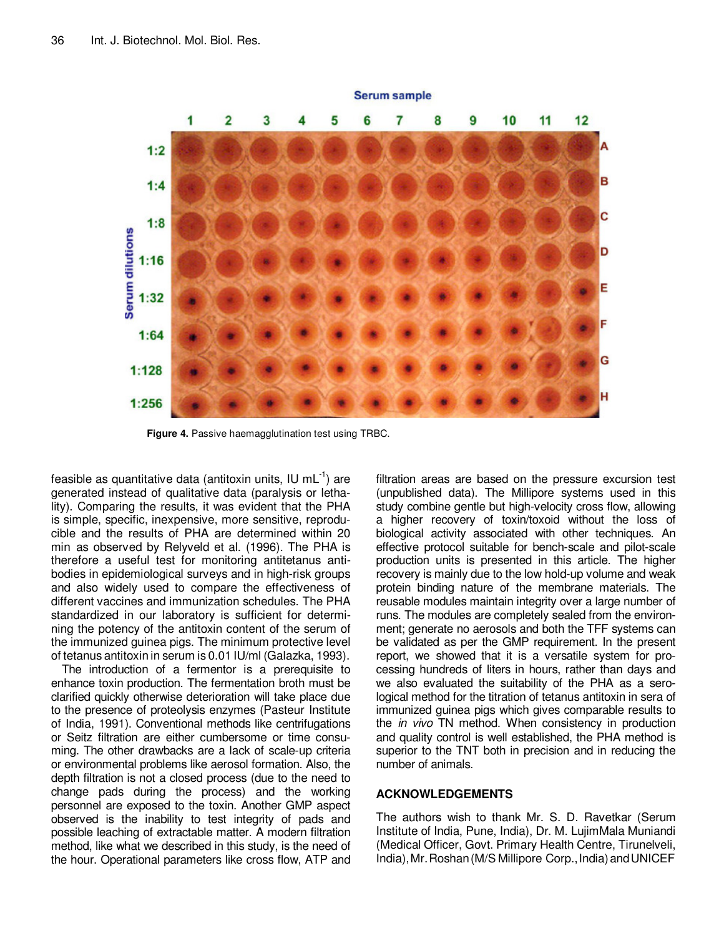

**Figure 4.** Passive haemagglutination test using TRBC.

feasible as quantitative data (antitoxin units, IU mL $^{-1}$ ) are generated instead of qualitative data (paralysis or lethality). Comparing the results, it was evident that the PHA is simple, specific, inexpensive, more sensitive, reproducible and the results of PHA are determined within 20 min as observed by Relyveld et al. (1996). The PHA is therefore a useful test for monitoring antitetanus antibodies in epidemiological surveys and in high-risk groups and also widely used to compare the effectiveness of different vaccines and immunization schedules. The PHA standardized in our laboratory is sufficient for determining the potency of the antitoxin content of the serum of the immunized guinea pigs. The minimum protective level of tetanus antitoxin in serum is 0.01 IU/ml (Galazka, 1993).

The introduction of a fermentor is a prerequisite to enhance toxin production. The fermentation broth must be clarified quickly otherwise deterioration will take place due to the presence of proteolysis enzymes (Pasteur Institute of India, 1991). Conventional methods like centrifugations or Seitz filtration are either cumbersome or time consuming. The other drawbacks are a lack of scale-up criteria or environmental problems like aerosol formation. Also, the depth filtration is not a closed process (due to the need to change pads during the process) and the working personnel are exposed to the toxin. Another GMP aspect observed is the inability to test integrity of pads and possible leaching of extractable matter. A modern filtration method, like what we described in this study, is the need of the hour. Operational parameters like cross flow, ATP and

filtration areas are based on the pressure excursion test (unpublished data). The Millipore systems used in this study combine gentle but high-velocity cross flow, allowing a higher recovery of toxin/toxoid without the loss of biological activity associated with other techniques. An effective protocol suitable for bench-scale and pilot-scale production units is presented in this article. The higher recovery is mainly due to the low hold-up volume and weak protein binding nature of the membrane materials. The reusable modules maintain integrity over a large number of runs. The modules are completely sealed from the environment; generate no aerosols and both the TFF systems can be validated as per the GMP requirement. In the present report, we showed that it is a versatile system for processing hundreds of liters in hours, rather than days and we also evaluated the suitability of the PHA as a serological method for the titration of tetanus antitoxin in sera of immunized guinea pigs which gives comparable results to the *in vivo* TN method. When consistency in production and quality control is well established, the PHA method is superior to the TNT both in precision and in reducing the number of animals.

# **ACKNOWLEDGEMENTS**

The authors wish to thank Mr. S. D. Ravetkar (Serum Institute of India, Pune, India), Dr. M. LujimMala Muniandi (Medical Officer, Govt. Primary Health Centre, Tirunelveli, India), Mr. Roshan (M/S Millipore Corp., India) and UNICEF